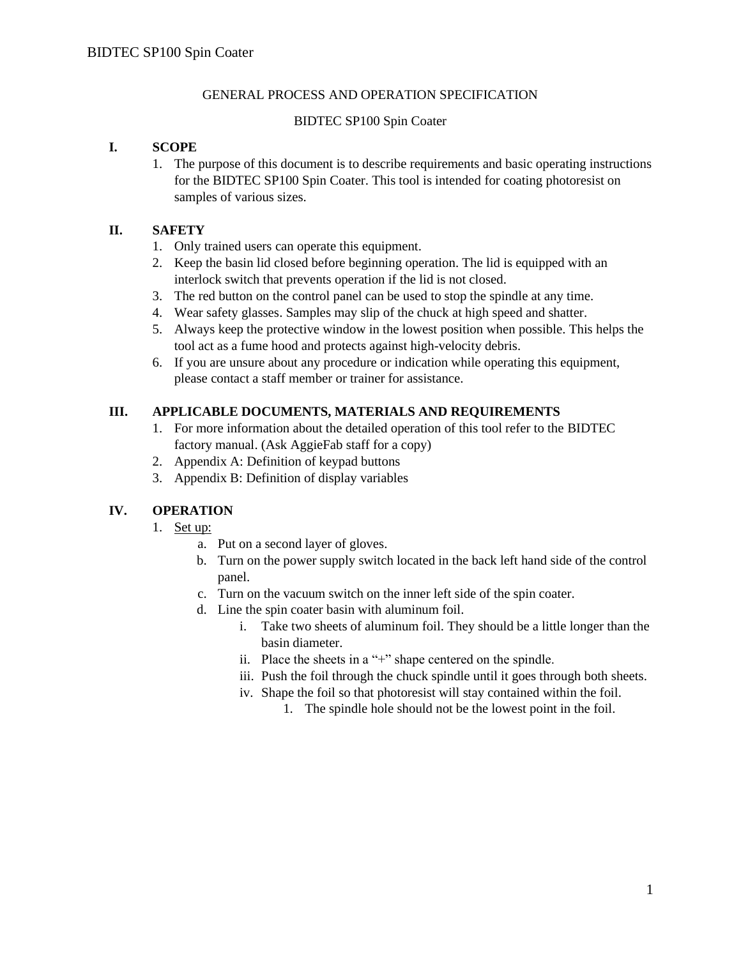#### GENERAL PROCESS AND OPERATION SPECIFICATION

#### BIDTEC SP100 Spin Coater

## **I. SCOPE**

1. The purpose of this document is to describe requirements and basic operating instructions for the BIDTEC SP100 Spin Coater. This tool is intended for coating photoresist on samples of various sizes.

#### **II. SAFETY**

- 1. Only trained users can operate this equipment.
- 2. Keep the basin lid closed before beginning operation. The lid is equipped with an interlock switch that prevents operation if the lid is not closed.
- 3. The red button on the control panel can be used to stop the spindle at any time.
- 4. Wear safety glasses. Samples may slip of the chuck at high speed and shatter.
- 5. Always keep the protective window in the lowest position when possible. This helps the tool act as a fume hood and protects against high-velocity debris.
- 6. If you are unsure about any procedure or indication while operating this equipment, please contact a staff member or trainer for assistance.

## **III. APPLICABLE DOCUMENTS, MATERIALS AND REQUIREMENTS**

- 1. For more information about the detailed operation of this tool refer to the BIDTEC factory manual. (Ask AggieFab staff for a copy)
- 2. Appendix A: Definition of keypad buttons
- 3. Appendix B: Definition of display variables

## **IV. OPERATION**

- 1. Set up:
	- a. Put on a second layer of gloves.
	- b. Turn on the power supply switch located in the back left hand side of the control panel.
	- c. Turn on the vacuum switch on the inner left side of the spin coater.
	- d. Line the spin coater basin with aluminum foil.
		- i. Take two sheets of aluminum foil. They should be a little longer than the basin diameter.
		- ii. Place the sheets in a "+" shape centered on the spindle.
		- iii. Push the foil through the chuck spindle until it goes through both sheets.
		- iv. Shape the foil so that photoresist will stay contained within the foil.
			- 1. The spindle hole should not be the lowest point in the foil.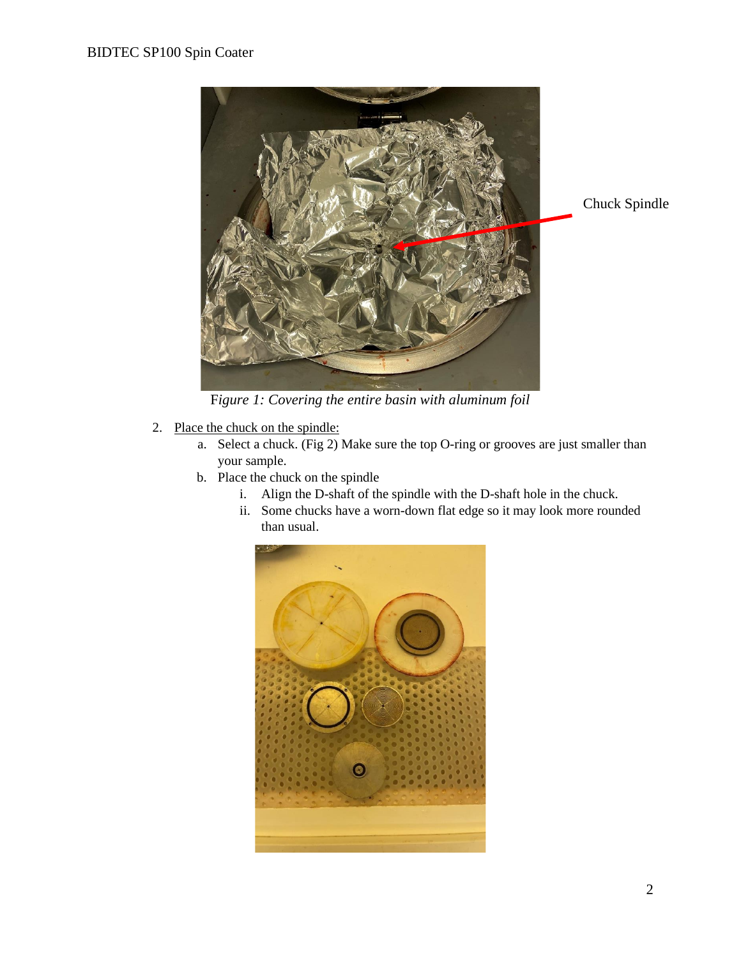

F*igure 1: Covering the entire basin with aluminum foil*

- 2. Place the chuck on the spindle:
	- a. Select a chuck. (Fig 2) Make sure the top O-ring or grooves are just smaller than your sample.
	- b. Place the chuck on the spindle
		- i. Align the D-shaft of the spindle with the D-shaft hole in the chuck.
		- ii. Some chucks have a worn-down flat edge so it may look more rounded than usual.

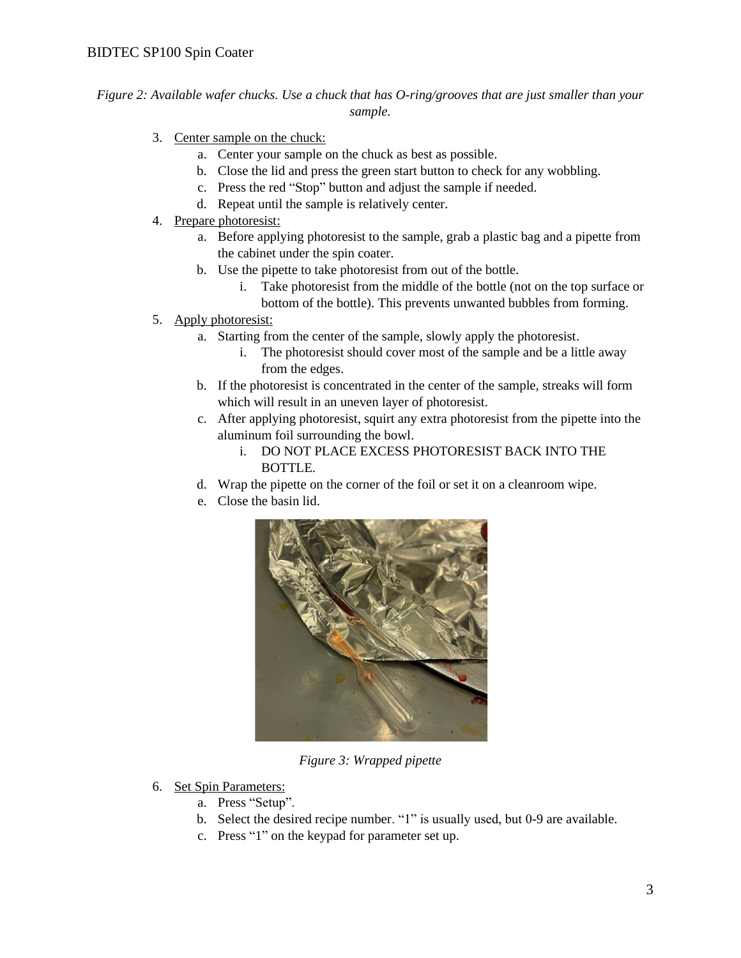*Figure 2: Available wafer chucks. Use a chuck that has O-ring/grooves that are just smaller than your sample.*

- 3. Center sample on the chuck:
	- a. Center your sample on the chuck as best as possible.
	- b. Close the lid and press the green start button to check for any wobbling.
	- c. Press the red "Stop" button and adjust the sample if needed.
	- d. Repeat until the sample is relatively center.
- 4. Prepare photoresist:
	- a. Before applying photoresist to the sample, grab a plastic bag and a pipette from the cabinet under the spin coater.
	- b. Use the pipette to take photoresist from out of the bottle.
		- i. Take photoresist from the middle of the bottle (not on the top surface or bottom of the bottle). This prevents unwanted bubbles from forming.
- 5. Apply photoresist:
	- a. Starting from the center of the sample, slowly apply the photoresist.
		- i. The photoresist should cover most of the sample and be a little away from the edges.
	- b. If the photoresist is concentrated in the center of the sample, streaks will form which will result in an uneven layer of photoresist.
	- c. After applying photoresist, squirt any extra photoresist from the pipette into the aluminum foil surrounding the bowl.
		- i. DO NOT PLACE EXCESS PHOTORESIST BACK INTO THE BOTTLE.
	- d. Wrap the pipette on the corner of the foil or set it on a cleanroom wipe.
	- e. Close the basin lid.



*Figure 3: Wrapped pipette*

- 6. Set Spin Parameters:
	- a. Press "Setup".
	- b. Select the desired recipe number. "1" is usually used, but 0-9 are available.
	- c. Press "1" on the keypad for parameter set up.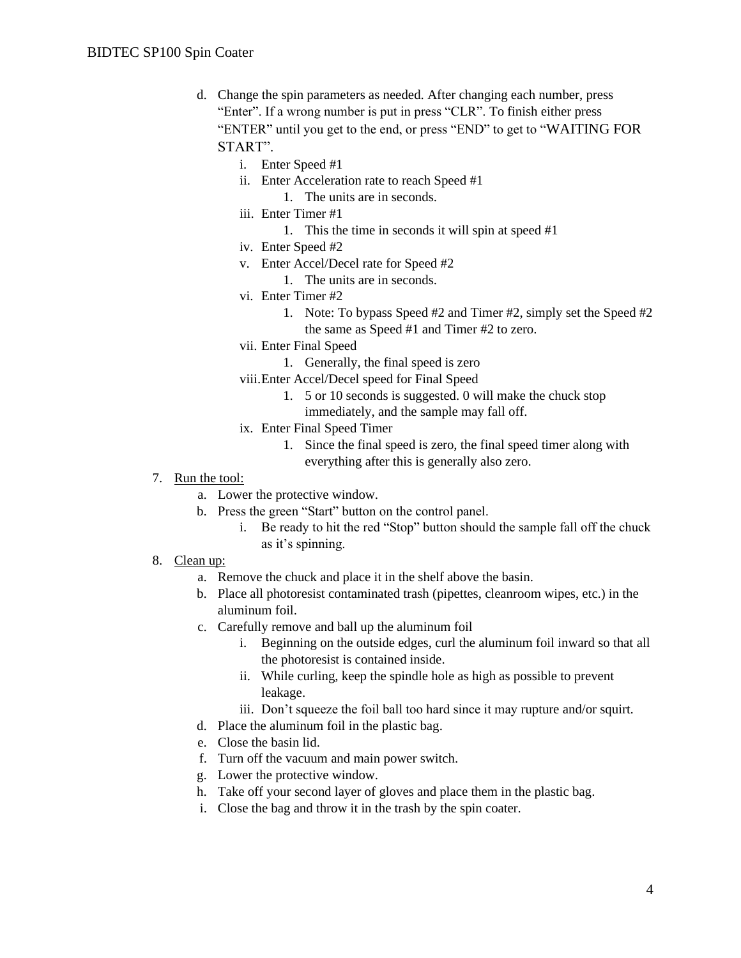- d. Change the spin parameters as needed. After changing each number, press "Enter". If a wrong number is put in press "CLR". To finish either press "ENTER" until you get to the end, or press "END" to get to "WAITING FOR START".
	- i. Enter Speed #1
	- ii. Enter Acceleration rate to reach Speed #1
	- 1. The units are in seconds.
	- iii. Enter Timer #1
		- 1. This the time in seconds it will spin at speed #1
	- iv. Enter Speed #2
	- v. Enter Accel/Decel rate for Speed #2
		- 1. The units are in seconds.
	- vi. Enter Timer #2
		- 1. Note: To bypass Speed #2 and Timer #2, simply set the Speed #2 the same as Speed #1 and Timer #2 to zero.
	- vii. Enter Final Speed
		- 1. Generally, the final speed is zero
	- viii.Enter Accel/Decel speed for Final Speed
		- 1. 5 or 10 seconds is suggested. 0 will make the chuck stop immediately, and the sample may fall off.
	- ix. Enter Final Speed Timer
		- 1. Since the final speed is zero, the final speed timer along with everything after this is generally also zero.
- 7. Run the tool:
	- a. Lower the protective window.
	- b. Press the green "Start" button on the control panel.
		- i. Be ready to hit the red "Stop" button should the sample fall off the chuck as it's spinning.
- 8. Clean up:
	- a. Remove the chuck and place it in the shelf above the basin.
	- b. Place all photoresist contaminated trash (pipettes, cleanroom wipes, etc.) in the aluminum foil.
	- c. Carefully remove and ball up the aluminum foil
		- i. Beginning on the outside edges, curl the aluminum foil inward so that all the photoresist is contained inside.
		- ii. While curling, keep the spindle hole as high as possible to prevent leakage.
		- iii. Don't squeeze the foil ball too hard since it may rupture and/or squirt.
	- d. Place the aluminum foil in the plastic bag.
	- e. Close the basin lid.
	- f. Turn off the vacuum and main power switch.
	- g. Lower the protective window.
	- h. Take off your second layer of gloves and place them in the plastic bag.
	- i. Close the bag and throw it in the trash by the spin coater.